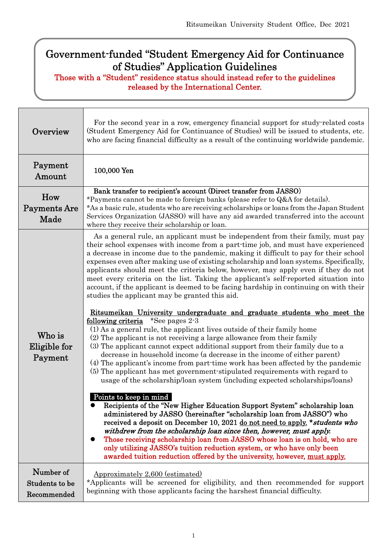# Government-funded "Student Emergency Aid for Continuance of Studies" Application Guidelines

Those with a "Student" residence status should instead refer to the guidelines released by the International Center.

Г

| Overview                                   | For the second year in a row, emergency financial support for study-related costs<br>(Student Emergency Aid for Continuance of Studies) will be issued to students, etc.<br>who are facing financial difficulty as a result of the continuing worldwide pandemic.                                                                                                                                                                                                                                                                                                                                                                                                                                                                                                                                                                                                                                                                                                                                                                                                                                                                                                                                                                                                                                                                                                                                                                                                                                                                                                                                                                                                                                                                                                                                                                                                                                                                                      |  |  |
|--------------------------------------------|--------------------------------------------------------------------------------------------------------------------------------------------------------------------------------------------------------------------------------------------------------------------------------------------------------------------------------------------------------------------------------------------------------------------------------------------------------------------------------------------------------------------------------------------------------------------------------------------------------------------------------------------------------------------------------------------------------------------------------------------------------------------------------------------------------------------------------------------------------------------------------------------------------------------------------------------------------------------------------------------------------------------------------------------------------------------------------------------------------------------------------------------------------------------------------------------------------------------------------------------------------------------------------------------------------------------------------------------------------------------------------------------------------------------------------------------------------------------------------------------------------------------------------------------------------------------------------------------------------------------------------------------------------------------------------------------------------------------------------------------------------------------------------------------------------------------------------------------------------------------------------------------------------------------------------------------------------|--|--|
| Payment<br>Amount                          | 100,000 Yen                                                                                                                                                                                                                                                                                                                                                                                                                                                                                                                                                                                                                                                                                                                                                                                                                                                                                                                                                                                                                                                                                                                                                                                                                                                                                                                                                                                                                                                                                                                                                                                                                                                                                                                                                                                                                                                                                                                                            |  |  |
| How<br>Payments Are<br>Made                | Bank transfer to recipient's account (Direct transfer from JASSO)<br>*Payments cannot be made to foreign banks (please refer to Q&A for details).<br>*As a basic rule, students who are receiving scholarships or loans from the Japan Student<br>Services Organization (JASSO) will have any aid awarded transferred into the account<br>where they receive their scholarship or loan.                                                                                                                                                                                                                                                                                                                                                                                                                                                                                                                                                                                                                                                                                                                                                                                                                                                                                                                                                                                                                                                                                                                                                                                                                                                                                                                                                                                                                                                                                                                                                                |  |  |
| Who is<br>Eligible for<br>Payment          | As a general rule, an applicant must be independent from their family, must pay<br>their school expenses with income from a part-time job, and must have experienced<br>a decrease in income due to the pandemic, making it difficult to pay for their school<br>expenses even after making use of existing scholarship and loan systems. Specifically,<br>applicants should meet the criteria below, however, may apply even if they do not<br>meet every criteria on the list. Taking the applicant's self-reported situation into<br>account, if the applicant is deemed to be facing hardship in continuing on with their<br>studies the applicant may be granted this aid.<br><u>Ritsumeikan University undergraduate and graduate students who meet the</u><br>following criteria *See pages 2-3<br>(1) As a general rule, the applicant lives outside of their family home<br>(2) The applicant is not receiving a large allowance from their family<br>(3) The applicant cannot expect additional support from their family due to a<br>decrease in household income (a decrease in the income of either parent)<br>(4) The applicant's income from part-time work has been affected by the pandemic<br>(5) The applicant has met government-stipulated requirements with regard to<br>usage of the scholarship/loan system (including expected scholarships/loans)<br>Points to keep in mind<br>Recipients of the "New Higher Education Support System" scholarship loan<br>administered by JASSO (hereinafter "scholarship loan from JASSO") who<br>received a deposit on December 10, 2021 do not need to apply. * students who<br>withdrew from the scholarship loan since then, however, must apply.<br>Those receiving scholarship loan from JASSO whose loan is on hold, who are<br>only utilizing JASSO's tuition reduction system, or who have only been<br>awarded tuition reduction offered by the university, however, must apply. |  |  |
| Number of<br>Students to be<br>Recommended | Approximately 2,600 (estimated)<br>*Applicants will be screened for eligibility, and then recommended for support<br>beginning with those applicants facing the harshest financial difficulty.                                                                                                                                                                                                                                                                                                                                                                                                                                                                                                                                                                                                                                                                                                                                                                                                                                                                                                                                                                                                                                                                                                                                                                                                                                                                                                                                                                                                                                                                                                                                                                                                                                                                                                                                                         |  |  |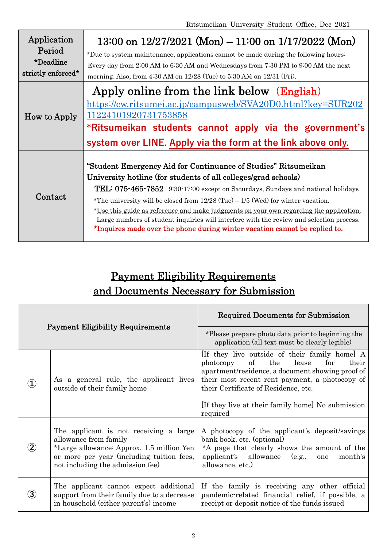| Application<br>Period<br>*Deadline<br>strictly enforced* | 13:00 on $12/27/2021$ (Mon) – 11:00 on $1/17/2022$ (Mon)<br>*Due to system maintenance, applications cannot be made during the following hours:<br>Every day from 2:00 AM to 6:30 AM and Wednesdays from 7:30 PM to 9:00 AM the next<br>morning. Also, from 4:30 AM on 12/28 (Tue) to 5:30 AM on 12/31 (Fri).                                                                                                                                                                                                                                                                  |  |  |
|----------------------------------------------------------|--------------------------------------------------------------------------------------------------------------------------------------------------------------------------------------------------------------------------------------------------------------------------------------------------------------------------------------------------------------------------------------------------------------------------------------------------------------------------------------------------------------------------------------------------------------------------------|--|--|
| <b>How to Apply</b>                                      | Apply online from the link below (English)<br>https://cw.ritsumei.ac.jp/campusweb/SVA20D0.html?key=SUR202<br>11224101920731753858<br>*Ritsumeikan students cannot apply via the government's<br>system over LINE. Apply via the form at the link above only.                                                                                                                                                                                                                                                                                                                   |  |  |
| Contact                                                  | "Student Emergency Aid for Continuance of Studies" Ritsumeikan<br>University hotline (for students of all colleges/grad schools)<br>TEL: 075-465-7852 9:30-17:00 except on Saturdays, Sundays and national holidays<br>*The university will be closed from $12/28$ (Tue) $-1/5$ (Wed) for winter vacation.<br>*Use this guide as reference and make judgments on your own regarding the application.<br>Large numbers of student inquiries will interfere with the review and selection process.<br>*Inquires made over the phone during winter vacation cannot be replied to. |  |  |

# Payment Eligibility Requirements and Documents Necessary for Submission

| <b>Payment Eligibility Requirements</b> |                                                                                                                                                                                               | <b>Required Documents for Submission</b>                                                                                                                                                                                                                                                                                 |
|-----------------------------------------|-----------------------------------------------------------------------------------------------------------------------------------------------------------------------------------------------|--------------------------------------------------------------------------------------------------------------------------------------------------------------------------------------------------------------------------------------------------------------------------------------------------------------------------|
|                                         |                                                                                                                                                                                               | *Please prepare photo data prior to beginning the<br>application (all text must be clearly legible)                                                                                                                                                                                                                      |
|                                         | As a general rule, the applicant lives<br>outside of their family home                                                                                                                        | If they live outside of their family home A<br>$\mathrm{of}$<br>the<br>lease<br>for<br>their<br>photocopy<br>apartment/residence, a document showing proof of<br>their most recent rent payment, a photocopy of<br>their Certificate of Residence, etc.<br>[If they live at their family home] No submission<br>required |
|                                         | The applicant is not receiving a large<br>allowance from family<br>*Large allowance: Approx. 1.5 million Yen<br>or more per year (including tuition fees,<br>not including the admission fee) | A photocopy of the applicant's deposit/savings<br>bank book, etc. (optional)<br>*A page that clearly shows the amount of the<br>applicant's allowance<br>(e.g.,<br>month's<br>one<br>allowance, etc.)                                                                                                                    |
|                                         | The applicant cannot expect additional<br>support from their family due to a decrease<br>in household (either parent's) income                                                                | If the family is receiving any other official<br>pandemic-related financial relief, if possible, a<br>receipt or deposit notice of the funds issued                                                                                                                                                                      |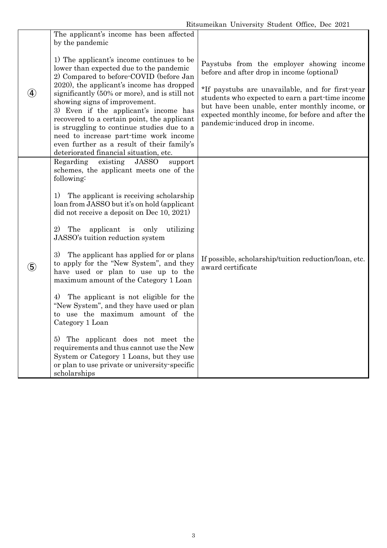|                   | The applicant's income has been affected<br>by the pandemic                                                                                                                                                                                                                                                                                            |                                                                                                                                                                                                                                                 |
|-------------------|--------------------------------------------------------------------------------------------------------------------------------------------------------------------------------------------------------------------------------------------------------------------------------------------------------------------------------------------------------|-------------------------------------------------------------------------------------------------------------------------------------------------------------------------------------------------------------------------------------------------|
|                   | 1) The applicant's income continues to be<br>lower than expected due to the pandemic<br>2) Compared to before COVID (before Jan<br>2020), the applicant's income has dropped                                                                                                                                                                           | Paystubs from the employer showing income<br>before and after drop in income (optional)                                                                                                                                                         |
|                   | significantly (50% or more), and is still not<br>showing signs of improvement.<br>3) Even if the applicant's income has<br>recovered to a certain point, the applicant<br>is struggling to continue studies due to a<br>need to increase part-time work income<br>even further as a result of their family's<br>deteriorated financial situation, etc. | *If paystubs are unavailable, and for first-year<br>students who expected to earn a part-time income<br>but have been unable, enter monthly income, or<br>expected monthly income, for before and after the<br>pandemic-induced drop in income. |
| $\left( 5\right)$ | Regarding<br>existing<br><b>JASSO</b><br>support<br>schemes, the applicant meets one of the<br>following:                                                                                                                                                                                                                                              |                                                                                                                                                                                                                                                 |
|                   | 1)<br>The applicant is receiving scholarship<br>loan from JASSO but it's on hold (applicant<br>did not receive a deposit on Dec 10, 2021)                                                                                                                                                                                                              |                                                                                                                                                                                                                                                 |
|                   | 2)<br>The<br>applicant is<br>only utilizing<br>JASSO's tuition reduction system                                                                                                                                                                                                                                                                        |                                                                                                                                                                                                                                                 |
|                   | The applicant has applied for or plans<br>3)<br>to apply for the "New System", and they<br>have used or plan to use up to the<br>maximum amount of the Category 1 Loan                                                                                                                                                                                 | If possible, scholarship/tuition reduction/loan, etc.<br>award certificate                                                                                                                                                                      |
|                   | 4)<br>The applicant is not eligible for the<br>"New System", and they have used or plan<br>to use the maximum amount of the<br>Category 1 Loan                                                                                                                                                                                                         |                                                                                                                                                                                                                                                 |
|                   | The applicant does not meet the<br>5)<br>requirements and thus cannot use the New<br>System or Category 1 Loans, but they use<br>or plan to use private or university-specific<br>scholarships                                                                                                                                                         |                                                                                                                                                                                                                                                 |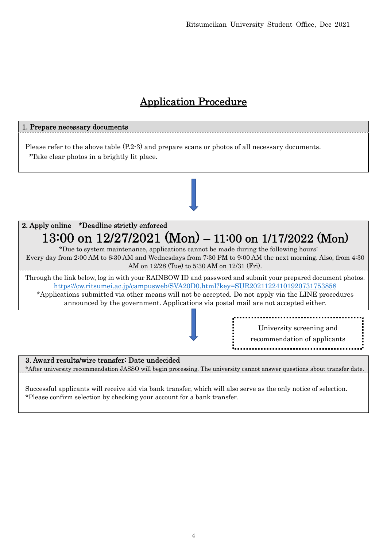# Application Procedure

# 1. Prepare necessary documents Please refer to the above table (P.2-3) and prepare scans or photos of all necessary documents. \*Take clear photos in a brightly lit place. 2. Apply online \*Deadline strictly enforced 13:00 on 12/27/2021 (Mon) – 11:00 on 1/17/2022 (Mon) \*Due to system maintenance, applications cannot be made during the following hours: Every day from 2:00 AM to 6:30 AM and Wednesdays from 7:30 PM to 9:00 AM the next morning. Also, from 4:30 AM on 12/28 (Tue) to 5:30 AM on 12/31 (Fri). Through the link below, log in with your RAINBOW ID and password and submit your prepared document photos. https://cw.ritsumei.ac.jp/campusweb/SVA20D0.html?key=SUR20211224101920731753858 \*Applications submitted via other means will not be accepted. Do not apply via the LINE procedures announced by the government. Applications via postal mail are not accepted either. 3. Award results/wire transfer: Date undecided University screening and recommendation of applicants

\*After university recommendation JASSO will begin processing. The university cannot answer questions about transfer date.

Successful applicants will receive aid via bank transfer, which will also serve as the only notice of selection. \*Please confirm selection by checking your account for a bank transfer.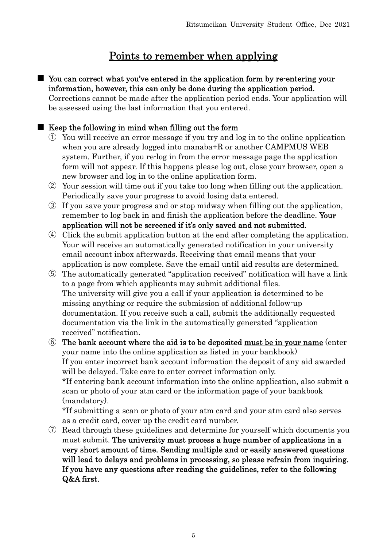# Points to remember when applying

■ You can correct what you've entered in the application form by re-entering your information, however, this can only be done during the application period.

Corrections cannot be made after the application period ends. Your application will be assessed using the last information that you entered.

## ■ Keep the following in mind when filling out the form

- ① You will receive an error message if you try and log in to the online application when you are already logged into manaba+R or another CAMPMUS WEB system. Further, if you re-log in from the error message page the application form will not appear. If this happens please log out, close your browser, open a new browser and log in to the online application form.
- ② Your session will time out if you take too long when filling out the application. Periodically save your progress to avoid losing data entered.
- ③ If you save your progress and or stop midway when filling out the application, remember to log back in and finish the application before the deadline. Your application will not be screened if it's only saved and not submitted.
- ④ Click the submit application button at the end after completing the application. Your will receive an automatically generated notification in your university email account inbox afterwards. Receiving that email means that your application is now complete. Save the email until aid results are determined.
- ⑤ The automatically generated "application received" notification will have a link to a page from which applicants may submit additional files. The university will give you a call if your application is determined to be missing anything or require the submission of additional follow-up documentation. If you receive such a call, submit the additionally requested documentation via the link in the automatically generated "application received" notification.

⑥ The bank account where the aid is to be deposited must be in your name (enter your name into the online application as listed in your bankbook) If you enter incorrect bank account information the deposit of any aid awarded will be delayed. Take care to enter correct information only. \*If entering bank account information into the online application, also submit a scan or photo of your atm card or the information page of your bankbook (mandatory).

\*If submitting a scan or photo of your atm card and your atm card also serves as a credit card, cover up the credit card number.

⑦ Read through these guidelines and determine for yourself which documents you must submit. The university must process a huge number of applications in a very short amount of time. Sending multiple and or easily answered questions will lead to delays and problems in processing, so please refrain from inquiring. If you have any questions after reading the guidelines, refer to the following Q&A first.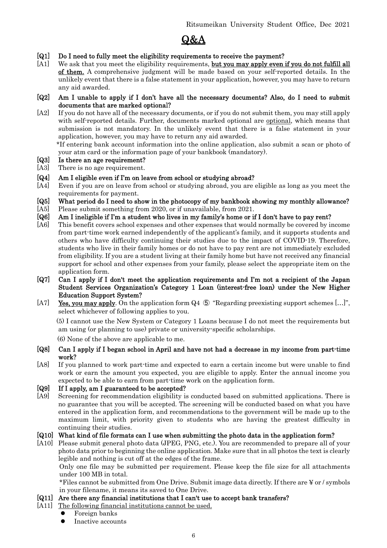

- [Q1] Do I need to fully meet the eligibility requirements to receive the payment?
- [A1] We ask that you meet the eligibility requirements, but you may apply even if you do not fulfill all of them. A comprehensive judgment will be made based on your self-reported details. In the unlikely event that there is a false statement in your application, however, you may have to return any aid awarded.
- [Q2] Am I unable to apply if I don't have all the necessary documents? Also, do I need to submit documents that are marked optional?
- [A2] If you do not have all of the necessary documents, or if you do not submit them, you may still apply with self-reported details. Further, documents marked optional are optional, which means that submission is not mandatory. In the unlikely event that there is a false statement in your application, however, you may have to return any aid awarded.

 \*If entering bank account information into the online application, also submit a scan or photo of your atm card or the information page of your bankbook (mandatory).

- [Q3] Is there an age requirement?
- [A3] There is no age requirement.

## [Q4] Am I eligible even if I'm on leave from school or studying abroad?

- [A4] Even if you are on leave from school or studying abroad, you are eligible as long as you meet the requirements for payment.
- [Q5] What period do I need to show in the photocopy of my bankbook showing my monthly allowance?
- [A5] Please submit something from 2020, or if unavailable, from 2021.
- [Q6] Am I ineligible if I'm a student who lives in my family's home or if I don't have to pay rent?
- [A6] This benefit covers school expenses and other expenses that would normally be covered by income from part-time work earned independently of the applicant's family, and it supports students and others who have difficulty continuing their studies due to the impact of COVID-19. Therefore, students who live in their family homes or do not have to pay rent are not immediately excluded from eligibility. If you are a student living at their family home but have not received any financial support for school and other expenses from your family, please select the appropriate item on the application form.
- [Q7] Can I apply if I don't meet the application requirements and I'm not a recipient of the Japan Student Services Organization's Category 1 Loan (interest-free loan) under the New Higher Education Support System?
- [A7] Yes, you may apply. On the application form Q4  $\circled{5}$  "Regarding preexisting support schemes [...]", select whichever of following applies to you.

 (5) I cannot use the New System or Category 1 Loans because I do not meet the requirements but am using (or planning to use) private or university-specific scholarships.

(6) None of the above are applicable to me.

- [Q8] Can I apply if I began school in April and have not had a decrease in my income from part-time work?
- [A8] If you planned to work part-time and expected to earn a certain income but were unable to find work or earn the amount you expected, you are eligible to apply. Enter the annual income you expected to be able to earn from part-time work on the application form.

## [Q9] If I apply, am I guaranteed to be accepted?

[A9] Screening for recommendation eligibility is conducted based on submitted applications. There is no guarantee that you will be accepted. The screening will be conducted based on what you have entered in the application form, and recommendations to the government will be made up to the maximum limit, with priority given to students who are having the greatest difficulty in continuing their studies.

## [Q10] What kind of file formats can I use when submitting the photo data in the application form?

[A10] Please submit general photo data (JPEG, PNG, etc.). You are recommended to prepare all of your photo data prior to beginning the online application. Make sure that in all photos the text is clearly legible and nothing is cut off at the edges of the frame.

Only one file may be submitted per requirement. Please keep the file size for all attachments under 100 MB in total.

\*Files cannot be submitted from One Drive. Submit image data directly. If there are ¥ or / symbols in your filename, it means its saved to One Drive.

#### [Q11] Are there any financial institutions that I can't use to accept bank transfers?

- [A11] The following financial institutions cannot be used.
	- Foreign banks
	- Inactive accounts